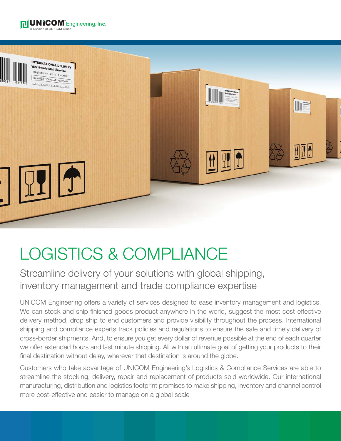



### LOGISTICS & COMPLIANCE

Streamline delivery of your solutions with global shipping, inventory management and trade compliance expertise

UNICOM Engineering offers a variety of services designed to ease inventory management and logistics. We can stock and ship finished goods product anywhere in the world, suggest the most cost-effective delivery method, drop ship to end customers and provide visibility throughout the process. International shipping and compliance experts track policies and regulations to ensure the safe and timely delivery of cross-border shipments. And, to ensure you get every dollar of revenue possible at the end of each quarter we offer extended hours and last minute shipping. All with an ultimate goal of getting your products to their final destination without delay, wherever that destination is around the globe.

Customers who take advantage of UNICOM Engineering's Logistics & Compliance Services are able to streamline the stocking, delivery, repair and replacement of products sold worldwide. Our international manufacturing, distribution and logistics footprint promises to make shipping, inventory and channel control more cost-effective and easier to manage on a global scale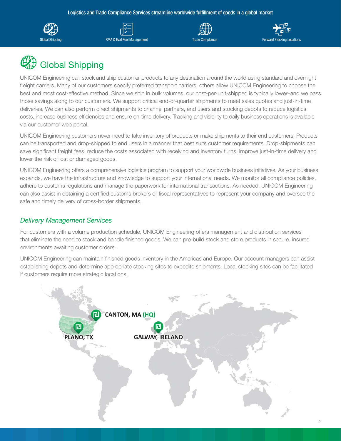Logistics and Trade Compliance Services streamline worldwide fulfillment of goods in a global market











UNICOM Engineering can stock and ship customer products to any destination around the world using standard and overnight freight carriers. Many of our customers specify preferred transport carriers; others allow UNICOM Engineering to choose the best and most cost-effective method. Since we ship in bulk volumes, our cost-per-unit-shipped is typically lower–and we pass those savings along to our customers. We support critical end-of-quarter shipments to meet sales quotes and just-in-time deliveries. We can also perform direct shipments to channel partners, end users and stocking depots to reduce logistics costs, increase business efficiencies and ensure on-time delivery. Tracking and visibility to daily business operations is available via our customer web portal.

UNICOM Engineering customers never need to take inventory of products or make shipments to their end customers. Products can be transported and drop-shipped to end users in a manner that best suits customer requirements. Drop-shipments can save significant freight fees, reduce the costs associated with receiving and inventory turns, improve just-in-time delivery and lower the risk of lost or damaged goods.

UNICOM Engineering offers a comprehensive logistics program to support your worldwide business initiatives. As your business expands, we have the infrastructure and knowledge to support your international needs. We monitor all compliance policies, adhere to customs regulations and manage the paperwork for international transactions. As needed, UNICOM Engineering can also assist in obtaining a certified customs brokers or fiscal representatives to represent your company and oversee the safe and timely delivery of cross-border shipments.

### *Delivery Management Services*

For customers with a volume production schedule, UNICOM Engineering offers management and distribution services that eliminate the need to stock and handle finished goods. We can pre-build stock and store products in secure, insured environments awaiting customer orders.

UNICOM Engineering can maintain finished goods inventory in the Americas and Europe. Our account managers can assist establishing depots and determine appropriate stocking sites to expedite shipments. Local stocking sites can be facilitated if customers require more strategic locations.

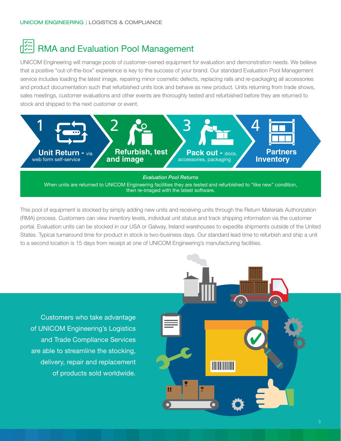### RMA and Evaluation Pool Management

UNICOM Engineering will manage pools of customer-owned equipment for evaluation and demonstration needs. We believe that a positive "out-of-the-box" experience is key to the success of your brand. Our standard Evaluation Pool Management service includes loading the latest image, repairing minor cosmetic defects, replacing rails and re-packaging all accessories and product documentation such that refurbished units look and behave as new product. Units returning from trade shows, sales meetings, customer evaluations and other events are thoroughly tested and refurbished before they are returned to stock and shipped to the next customer or event.



This pool of equipment is stocked by simply adding new units and receiving units through the Return Materials Authorization (RMA) process. Customers can view inventory levels, individual unit status and track shipping information via the customer portal. Evaluation units can be stocked in our USA or Galway, Ireland warehouses to expedite shipments outside of the United States. Typical turnaround time for product in stock is two-business days. Our standard lead time to refurbish and ship a unit to a second location is 15 days from receipt at one of UNICOM Engineering's manufacturing facilities.

Customers who take advantage of UNICOM Engineering's Logistics and Trade Compliance Services are able to streamline the stocking, delivery, repair and replacement of products sold worldwide.

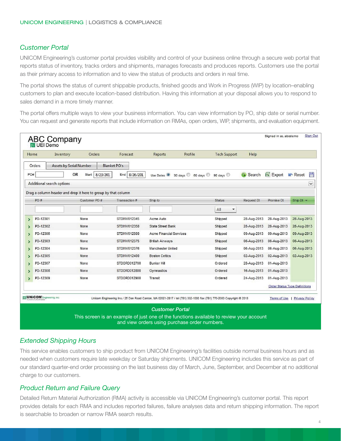#### *Customer Portal*

UNICOM Engineering's customer portal provides visibility and control of your business online through a secure web portal that reports status of inventory, tracks orders and shipments, manages forecasts and produces reports. Customers use the portal as their primary access to information and to view the status of products and orders in real time.

The portal shows the status of current shippable products, finished goods and Work in Progress (WIP) by location–enabling customers to plan and execute location-based distribution. Having this information at your disposal allows you to respond to sales demand in a more timely manner.

The portal offers multiple ways to view your business information. You can view information by PO, ship date or serial number. You can request and generate reports that include information on RMAs, open orders, WIP, shipments, and evaluation equipment.

| Home                                                                                                                                                   | Inventory                 | Orders                                                        | Forecast            | Reports                  | Profile                    | <b>Tech Support</b> | Help               |                                      |                |
|--------------------------------------------------------------------------------------------------------------------------------------------------------|---------------------------|---------------------------------------------------------------|---------------------|--------------------------|----------------------------|---------------------|--------------------|--------------------------------------|----------------|
|                                                                                                                                                        | Orders                    | <b>Assets by Serial Number</b>                                | <b>Blanket PO's</b> |                          |                            |                     |                    |                                      |                |
| PO#                                                                                                                                                    |                           | OR<br>Start<br>8/23/201.                                      | End 8/26/201.       | Use Dates <sup>O</sup>   | 30 days 60 days 90 days 30 |                     | Search<br>$\Omega$ | $\mathbb{R}$ Export                  | 誾<br>Reset     |
|                                                                                                                                                        | Additional search options |                                                               |                     |                          |                            |                     |                    |                                      | ×              |
|                                                                                                                                                        |                           | Drag a column header and drop it here to group by that column |                     |                          |                            |                     |                    |                                      |                |
|                                                                                                                                                        | PO #                      | Customer PO #                                                 | Transaction #       | Ship to                  |                            | <b>Status</b>       | Request Dt         | Promise Dt                           | Ship Dt $\sim$ |
|                                                                                                                                                        |                           |                                                               |                     |                          |                            | All<br>۳            |                    |                                      |                |
| >                                                                                                                                                      | PO-12301                  | None                                                          | STDINV012345        | Acme Auto                |                            | Shipped             | 28-Aug-2013        | 28-Aug-2013                          | 28-Aug-2013    |
| ١.                                                                                                                                                     | PO-12302                  | None                                                          | STDINV012350        | <b>State Street Bank</b> |                            | Shipped             | 28-Aug-2013        | 28-Aug-2013                          | 28-Aug-2013    |
| ⋟                                                                                                                                                      | PO-12306                  | None                                                          | STDINV012500        | Acme Financial Services  |                            | Shipped             | 09-Aug-2013        | 09-Aug-2013                          | 09-Aug-2013    |
| $\rightarrow$                                                                                                                                          | PO-12303                  | None                                                          | STDINV012375        | <b>British Airways</b>   |                            | Shipped             | 06-Aug-2013        | 06-Aug-2013                          | 06-Aug-2013    |
| э                                                                                                                                                      | PO-12304                  | None                                                          | <b>STDINV012376</b> | Manchester United        |                            | Shipped             | 06-Aug-2013        | 06-Aug-2013                          | 06-Aug-2013    |
| >                                                                                                                                                      | PO-12305                  | None                                                          | STDINV012400        | <b>Boston Celtics</b>    |                            | Shipped             | 02-Aug-2013        | 02-Aug-2013                          | 02-Aug-2013    |
| 8                                                                                                                                                      | PO-12307                  | None                                                          | STDORD012700        | <b>Bunker Hill</b>       |                            | Ordered             | 28-Aug-2013        | 01-Aug-2013                          |                |
| 5                                                                                                                                                      | PO-12308                  | None                                                          | STDORD012800        | Gymnastics               |                            | Ordered             | 16-Aug-2013        | 01-Aug-2013                          |                |
| $\blacktriangleright$                                                                                                                                  | PO-12309                  | None                                                          | STDORD012900        | Transit                  |                            | Ordered             | 24-Aug-2013        | 01-Aug-2013                          |                |
|                                                                                                                                                        |                           |                                                               |                     |                          |                            |                     |                    | <b>Order Status Type Definitions</b> |                |
| <b>UNICOM</b> Engineering, Inc.<br>Unicom Engineering Inc./ 25 Dan Road Canton, MA 02021-2817 / tel (781) 332-1000 fax (781) 770-2000 Copyright @ 2013 |                           |                                                               |                     |                          |                            |                     |                    | Terms of Use                         | Privacy Policy |

#### *Extended Shipping Hours*

This service enables customers to ship product from UNICOM Engineering's facilities outside normal business hours and as needed when customers require late weekday or Saturday shipments. UNICOM Engineering includes this service as part of our standard quarter-end order processing on the last business day of March, June, September, and December at no additional charge to our customers.

#### *Product Return and Failure Query*

Detailed Return Material Authorization (RMA) activity is accessible via UNICOM Engineering's customer portal. This report provides details for each RMA and includes reported failures, failure analyses data and return shipping information. The report is searchable to broaden or narrow RMA search results.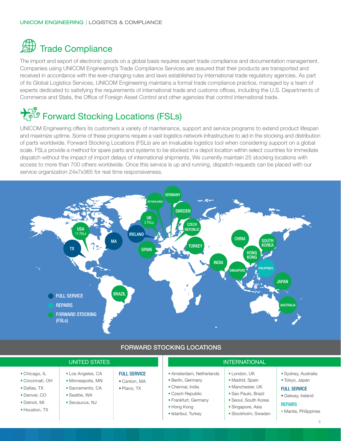# **SD** Trade Compliance

The import and export of electronic goods on a global basis requires expert trade compliance and documentation management. Companies using UNICOM Engineering's Trade Compliance Services are assured that their products are transported and received in accordance with the ever-changing rules and laws established by international trade regulatory agencies. As part of its Global Logistics Services, UNICOM Engineering maintains a formal trade compliance practice, managed by a team of experts dedicated to satisfying the requirements of international trade and customs offices, including the U.S. Departments of Commerce and State, the Office of Foreign Asset Control and other agencies that control international trade.

# PER Forward Stocking Locations (FSLs)

UNICOM Engineering offers its customers a variety of maintenance, support and service programs to extend product lifespan and maximize uptime. Some of these programs require a vast logistics network infrastructure to aid in the stocking and distribution of parts worldwide. Forward Stocking Locations (FSLs) are an invaluable logistics tool when considering support on a global scale. FSLs provide a method for spare parts and systems to be stocked in a depot location within select countries for immediate dispatch without the impact of import delays of international shipments. We currently maintain 25 stocking locations with access to more than 700 others worldwide. Once this service is up and running, dispatch requests can be placed with our service organization 24x7x365 for real time responsiveness.



|                                                                                                     | <b>UNITED STATES</b>                                                                          |                                                    | <b>INTERNATIONAL</b>                                                                                                                               |                                                                                                                                                |                                                                                                                              |  |  |
|-----------------------------------------------------------------------------------------------------|-----------------------------------------------------------------------------------------------|----------------------------------------------------|----------------------------------------------------------------------------------------------------------------------------------------------------|------------------------------------------------------------------------------------------------------------------------------------------------|------------------------------------------------------------------------------------------------------------------------------|--|--|
| • Chicago, IL<br>• Cincinnati, OH<br>• Dallas, TX<br>• Denver, CO<br>• Detroit. MI<br>• Houston, TX | • Los Angeles, CA<br>• Minneapolis, MN<br>• Sacramento, CA<br>• Seattle, WA<br>• Secaucus, NJ | <b>FULL SERVICE</b><br>• Canton, MA<br>• Plano, TX | • Amsterdam, Netherlands<br>• Berlin, Germany<br>• Chennai, India<br>• Czech Republic<br>• Frankfurt, Germany<br>• Hong Kong<br>• Istanbul, Turkey | • London, UK<br>• Madrid, Spain<br>• Manchester, UK<br>• Sao Paulo, Brazil<br>• Seoul, South Korea<br>• Singapore, Asia<br>· Stockholm, Sweden | • Sydney, Australia<br>• Tokyo, Japan<br><b>FULL SERVICE</b><br>• Galway, Ireland<br><b>REPAIRS</b><br>• Manila, Philippines |  |  |